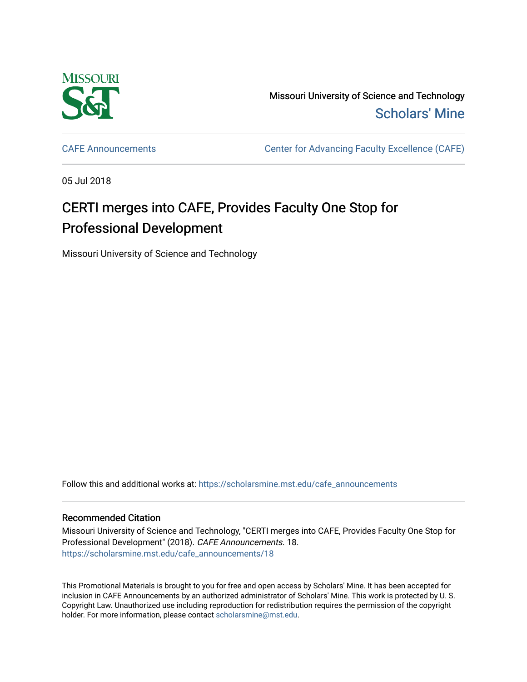

Missouri University of Science and Technology [Scholars' Mine](https://scholarsmine.mst.edu/) 

[CAFE Announcements](https://scholarsmine.mst.edu/cafe_announcements) [Center for Advancing Faculty Excellence \(CAFE\)](https://scholarsmine.mst.edu/cafe) 

05 Jul 2018

## CERTI merges into CAFE, Provides Faculty One Stop for Professional Development

Missouri University of Science and Technology

Follow this and additional works at: [https://scholarsmine.mst.edu/cafe\\_announcements](https://scholarsmine.mst.edu/cafe_announcements?utm_source=scholarsmine.mst.edu%2Fcafe_announcements%2F18&utm_medium=PDF&utm_campaign=PDFCoverPages) 

## Recommended Citation

Missouri University of Science and Technology, "CERTI merges into CAFE, Provides Faculty One Stop for Professional Development" (2018). CAFE Announcements. 18. [https://scholarsmine.mst.edu/cafe\\_announcements/18](https://scholarsmine.mst.edu/cafe_announcements/18?utm_source=scholarsmine.mst.edu%2Fcafe_announcements%2F18&utm_medium=PDF&utm_campaign=PDFCoverPages)

This Promotional Materials is brought to you for free and open access by Scholars' Mine. It has been accepted for inclusion in CAFE Announcements by an authorized administrator of Scholars' Mine. This work is protected by U. S. Copyright Law. Unauthorized use including reproduction for redistribution requires the permission of the copyright holder. For more information, please contact [scholarsmine@mst.edu.](mailto:scholarsmine@mst.edu)